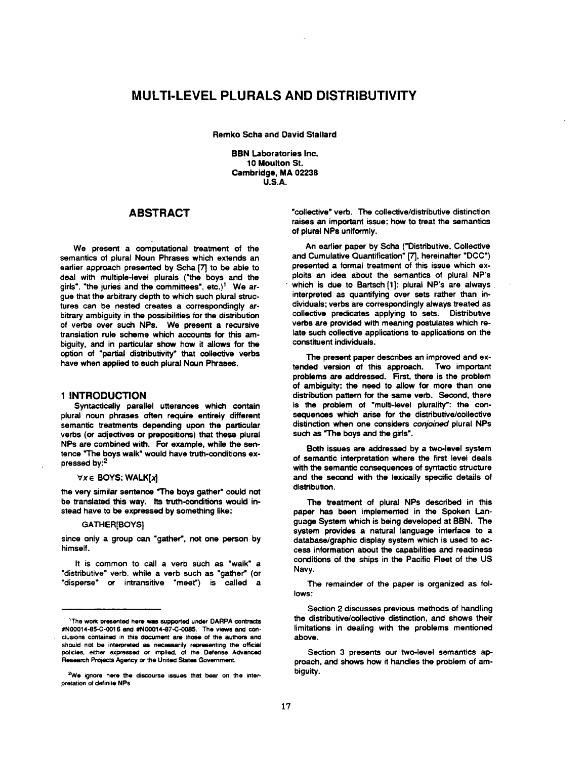# **MULTI-LEVEL PLURALS AND DISTRIBUTIVITY**

Remko Scha and David Stallard

**BBN Laboratories Inc. 10 Moulton St. Cambridge, MA 02238 U.S.A.** 

## **ABSTRACT**

We present a computational treatment of the semantics of plural Noun Phrases which extends an earlier approach presented by Scha [7] to be able to deal with multiple-level plurals ("the boys and the girls", "the juries and the committees",  $etc.$ <sup>1</sup> We argue that the arbitrary depth to which such plural structures can be nested creates a correspondingly arbitrary ambiguity in the possibilities for the distribution of verbs over such NPs. We present a recursive translation rule scheme which accounts for this ambiguity, and in particular show how it allows for the option of "partial distributivity" that collective verbs have when applied to such plural Noun Phrases.

## **1 INTRODUCTION**

Syntactically parallel utterances which contain plural noun phrases often require entirely different semantic treatments depending upon the particular verbs (or adjectives or prepositions) that these plural NPs are combined with. For example, while the sentence "The boys walk" would have truth-conditions expressed by:<sup>2</sup>

#### $\forall x \in$  BOYS: WALK[x]

the very similar sentence "The boys gather" could not be translated this way. Its truth-conditions would instead have to be expressed by something like:

#### **GATHER[BOYS]**

since only a group can "gather', not one person by himself.

It is common to call a verb such as "walk" a "distributive" verb, while a verb such as "gather" (or "disperse" or intransitive "meet") is called a

"collective" verb. The collective/distributive distinction raises an important issue: how to treat the semantics of plural NPs uniformly.

An earlier paper by Scha ("Distributive, Collective and Cumulative Quantification" [7], hereinafter "DCC") presented a formal treatment of this issue which exploits an idea about the semantics of plural NP's which is due to Bartsch [1]: plural NP's are always . interpreted as quantifying over sets rather than individuals; verbs are correspondingly always treated as collective predicates applying to sets. Distributive verbs are provided with meaning postulates which relate such collective applications to applications on the constituent individuals.

The present paper describes an improved and extended version of this approach. Two important problems are addressed. First, there is the problem of ambiguity: the need to allow for more than one distribution pattern for the same verb. Second, there is the problem of "multi-level plurality': the consequences which arise for the distributive/collective distinction when one considers *conjoined* plural NPs such as "The boys and the girls".

Both issues are addressed by a two-level system of semantic interpretation where the first level deals with the semantic consequences of syntactic structure and the second with the lexically specific details of distribution.

The treatment of plural NPs described in this paper has been implemented in the Spoken Language System which is being developed at BBN. The system provides a natural language interface to a database/graphic display system which is used to access information about the capabilities and readiness conditions of the ships in the Pacific Reet of the US Navy.

The remainder of the paper is organized as follows:

Section 2 discusses previous methods of handling the distributive/collective distinction, and shows their limitations in dealing with the problems mentioned above.

Section 3 presents our two-level semantics approach, and shows how it handles the problem of ambiguity.

 $+$ The work presented here was supported under DARPA contracts #N00014-85-C-0016 and #N00014-87.C-0085. The vmws and conclusions contained in this document are those of the authors and should not be interpreted as necessarily representing the official policies, either expressed or implied, of the Defense Advanced Research Projects Agency or the United Statas Government.

<sup>&</sup>lt;sup>2</sup>We ignore here the discourse issues that bear on the interpretation of definite NPs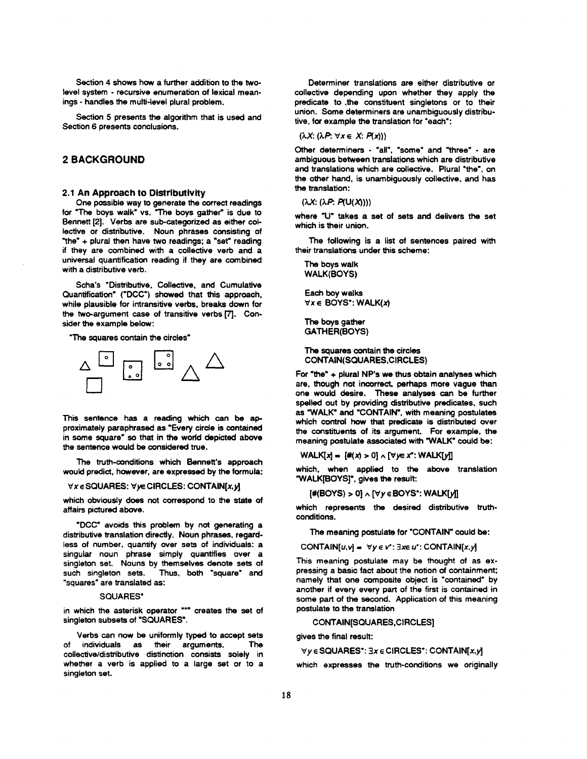Section 4 shows how a further addition to the twolevel system - recursive enumeration of lexical meanings - handles the multi-level plural problem.

Section 5 presents the algorithm that is used and Section 6 presents conclusions.

## **2BACKGROUND**

## 2.1 An Approach to Distributivity

One possible way to generate the correct readings for "The boys walk" vs. "The boys gather" is due to Bennett [2]. Verbs are sub-categorized as either collective or distributive. Noun phrases consisting of "the" + plural then have two readings; a \*sat" reading if they are combined with a collective verb and a universal quantification reading if they are combined with a distributive verb.

Scha's "Distributive, Collective, and Cumulative Quantification" ('DCC') showed that this approach, while plausible for intransitive verbs, breaks down for the two-argument case of transitive verbs [7]. Consider the example below:

"The squares contain the circles"



This sentence has a reading which can be approximately paraphrased as "Every circle is contained in some square" so that in the world depicted above the sentence would be considered true.

The truth-conditions which Bennett's approach would predict, however, are expressed by the formula:

#### $\forall x \in$  SQUARES:  $\forall y \in$  CIRCLES: CONTAIN[x,y]

which obviously does not correspond to the state of affairs pictured above.

"DCC" avoids this problem by not generating a distributive translation directly. Noun phrases, regardless of number, quantify over sets of individuals: a singular noun phrase simply quantifies over a singleton set. Nouns by themselves denote sets of such singleton sets. Thus, both "square" and "squares" are translated as:

#### SQUARES\*

in which the asterisk operator "\*" creates the set of singleton subsets of "SQUARES'.

Verbs can now be uniformly typed to accept sets of individuals as their arguments. The collective/distributive distinction consists solely in whether a verb is applied to a large set or to a singleton set.

Determiner translations are either distributive or collective depending upon whether they apply the predicate to the constituent singletons or to their union. Some determiners are unambiguously distributive, for example the translation for "each':

 $(\lambda X: (\lambda P: \forall x \in X: P(x)))$ 

Other determiners - "all', "some" and "three" - are ambiguous between translations which are distributive and translations which are collective. Plural "the', on the other hand, is unambiguously collective, and has the translation:

 $(\lambda X: (\lambda P. P(U(X))))$ 

where "U" takes a set of sets and delivers the set which is their union.

The following is a list of sentences paired with their translations under this scheme:

The boys walk WALK(BOYS)

Each boy walks  $\forall x \in \mathsf{BOYS}^*$ : WALK(x)

The boys gather GATHER(BOYS)

The squares contain the circles CONTAIN(SQUARES,CIRCLES)

For "the" + plural NP's we thus obtain analyses which are, though not incorrect, perhaps more vague than one would desire. These analyses can be further spelled out by providing distributive predicates, such as "WALK" and "CONTAIN', with meaning postulates which control how that predicate is distributed over the constituents of its argument. For example, the meaning postulate associated with "WALK" could be:

 $WALK[x] = {*(x) > 0} \wedge {(\forall y \in x^*: WALK[y])}$ 

which, when applied to the above translation "WALK[BOYS]', gives the result:

 $[#(BOYS) > 0] \wedge [\forall y \in BOYS$ <sup>\*</sup>: WALK $[y]$ 

which represents the desired distributive truthconditions.

The meaning postulate for "CONTAIN" could be:

CONTAIN $[u, v] = \forall y \in v': \exists x \in u':$  CONTAIN $[x, y]$ 

This meaning postulate may be thought of as expressing a basic fact about the notion of containment; namely that one composite object is "contained" by another if every every part of the first is contained in some part of the second. Application of this meaning postulate to the translation

CONTAIN[SQUARES,CIRCLES]

gives the final result:

```
\forall y \in SQUARES<sup>*</sup>: \exists x \in CIRCLES<sup>*</sup>: CONTAIN[x,y]
```
which expresses the truth-conditions we originally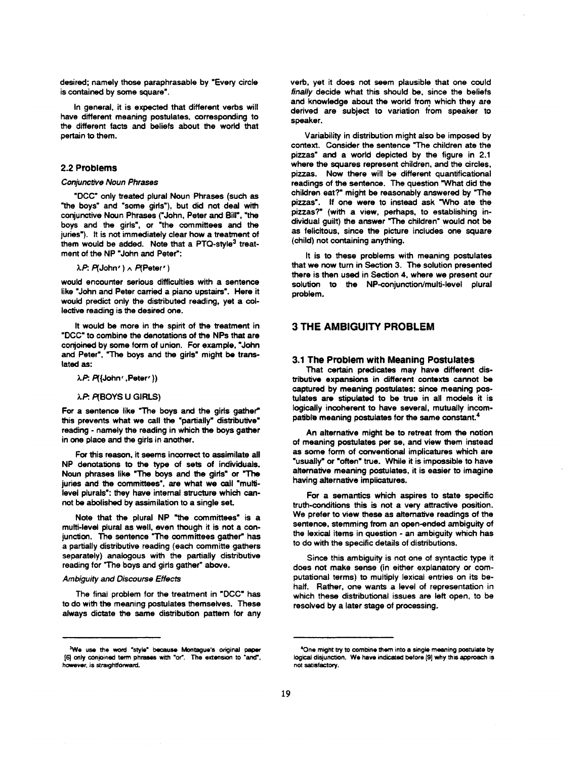desired; namely those paraphrasable by "Every circle is contained by some square'.

In general, it is expected that different verbs will have different meaning postulates, corresponding to the different facts and beliefs about the world that pertain to them.

### 2.2 Problems

#### *Conjuncbve Noun Phrases*

"DCC" only treated plural Noun Phrases (such as "the boys" and "some girls'), but did not deal with conjunctive Noun Phrases ('John, Peter and Bill', "the boys and the girls", or "the committees and the juries"). It is not immediately clear how a treatment of them would be added. Note that a PTQ-style<sup>3</sup> treatment of the NP "John and Peter":

 $\lambda P: P(John') \wedge P(Peter')$ 

would encounter serious difficulties with a sentence like "John and Peter carried a piano upstairs'. Here it would predict only the distributed reading, yet a collective reading is the desired one.

It would be more in the spirit of the treatment in "DCC" to combine the denotations of the NPs that are conjoined by some form of union. For example, "John and Peter', "The boys and the girls" might be translated as:

#### ;LP: P({John' ,Peter' ))

#### $\lambda$ P: P(BOYS U GIRLS)

For a sentence like "The boys and the girls gather" this prevents what we call the "partially" distributive" reading - namely the reading in which the boys gather in one place and the girls in another.

For this reason, it seems incorrect to assimilate all NP denotations to the type of sets of individuals. Noun phrases like "The boys and the girls" or "The juries and the committees', are what we call "multilevel plurals': they have internal structure which cannot be abolished by assimilation to a single seL

Note that the plural NP "the committees" is a multi-level plural as well, even though it is not a conjunction. The sentence "The committees gather" has a partially distributive reading (each committe gathers separately) analogous with the partially distributive reading for "The boys and girls gather" above.

#### *Ambiguity and Discourse Effects*

The final problem for the treatment in "DCC" has to do with the meaning postulates themselves. These always dictate the same distribution pattam for any verb, yet it does not seem plausible that one could *finally* decide what this should be, since the beliefs and knowledge about the world from which they are derived are subject to variation from speaker to speaker.

Variability in distribution might also be imposed by context. Consider the sentence "The children ate the pizzas" and a world depicted by the figure in 2.1 where the squares represent children, and the circles, pizzas. Now there will be different quantificational readings of the sentence. The question "What did the children eat?" might be reasonably answered by "The pizzas'. If one were to instead ask "Who ate the pizzas?" (with a view, perhaps, to establishing individual guilt) the answer "The children" would not be as felicitous, since the picture includes one square (child) not containing anything.

It is to these problems with meaning postulates that we now turn in Section 3. The solution presented there is then used in Section 4, where we present our solution to the NP-conjunction/multi-level plural problem.

## **3 THE AMBIGUITY PROBLEM**

#### 3.1 The Problem with Meaning Postulates

That certain predicates may have different distributive expansions in different contexts cannot be captured by meaning postulates: since meaning postulates are stipulated to be true in all models it is logically incoherent to have several, mutually incompatible meaning postulates for the same constant.<sup>4</sup>

An alternative might be to retreat from the notion of meaning postulates per se, and view them instead as some form of conventional implicatures which are "usually" or "often" true. While it is impossible to have alternative meaning postulates, it is easier to imagine having alternative implicatures.

For a semantics which aspires to state specific truth-conditions this is not a very attractive position. We prefer to view these as alternative readings of the sentence, stemming from an open-ended ambiguity of the lexicai items in question - an ambiguity which has to do with the specific details of distributions.

Since this ambiguity is not one of syntactic type it does not make sense (in either explanatory or computational terms) to multiply lexical entries on its behalf. Rather, one wants a level of representation in which these distributional issues are left open, to be resolved by a later stage of processing.

<sup>&</sup>lt;sup>3</sup>We use the word "style" because Montague's original paper [6] only conjoined term phrases with "or". The extension to "and", however, is straightforward.

<sup>&</sup>lt;sup>4</sup>One might try to combine them into a single meaning postulate by logical disjunction. We have indicated before [9] why this approach is not satisfactory.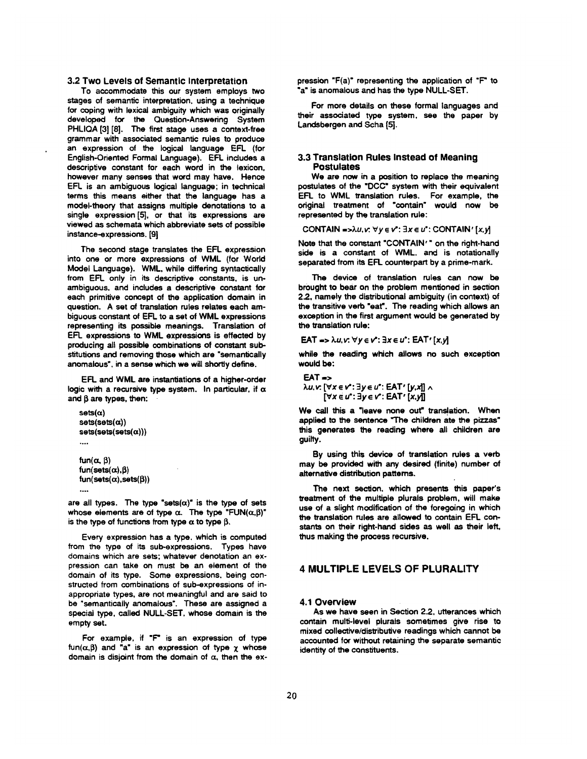#### **3.2** Two Levels of Semantic Interpretation

To accommodate this our system employs two stages of semantic interpretation, using a technique for coping with lexical ambiguity which was originally developed for the Question-Answering System PHLIQA [3] [8]. The first stage uses a context-free grammar with associated semantic rules to produce an expression of the logical language EFL (for English-Oriented Formal Language). EFL includes a descriptive constant for each word in the lexicon, however many senses that word may have. Hence EFL is an ambiguous logical language; in technical terms this means either that the language has a model-theory that assigns multiple denotations to a single expression [5], or that its expressions are viewed as schemata which abbreviate sets of possible instance-expressions. [g]

The second stage translates the EFL expression into one or more expressions of WML (for World Model Language). WML, while differing syntactically from EFL only in its descriptive constants, is unambiguous, and includes a descriptive constant for each primitive concept of the application domain in question. A set of translation rules relates each ambiguous constant of EFL to a set of WML expressions representing its possible meanings. Translation of EFL expressions to WML expressions is effected by producing all possible combinations of constant substitutions and removing those which are "semantically anomalous", in a sense which we will shortly define.

EFL and WML are instantiations of a higher-order logic with a recursive type system. In particular, if  $\alpha$ and  $\beta$  are types, then:

```
sets(\alpha)sets(sets(\alpha))sets(sets(sets(\alpha)))\dddotscfun(\alpha, \beta)
```
 $fun(sets(\alpha),\beta)$  $fun(sets(\alpha),sets(\beta))$ ...o

are all types. The type "sets( $\alpha$ )" is the type of sets whose elements are of type  $\alpha$ . The type "FUN( $\alpha,\beta$ )" is the type of functions from type  $\alpha$  to type  $\beta$ .

Every expression has a type. which is computed from the type of its sub-expressions. Types have domains which are sets; whatever denotation an expression can take on must be an element of the domain of its type. Some expressions, being constructed from combinations of sub-expressions of inappropriate types, are not meaningful and are said to be "semantically anomalous". These are assigned a special type, called NULL-SET, whose domain is the empty set.

For example, if "F" is an expression of type  $fun(\alpha,\beta)$  and "a" is an expression of type  $\chi$  whose domain is disjoint from the domain of  $\alpha$ , then the expression "F(a)" representing the application of "F" to "a" is anomalous and has the type NULL-SET.

For more details on these formal languages and their associated type system, see the paper by Landsbergen and Scha [5].

#### **3.3 Translation Rules Instead of Meaning**  Postulates

We are now in a position to replace the meaning postulates of the "DCC" system with their equivalent EFt. to WML translation rules. For example, the original treatment of "contain" would now be represented by the translation rule:

CONTAIN =  $\lambda u, v: \forall y \in v': \exists x \in u':$  CONTAIN' [x, y]

Note that the constant "CONTAIN'" on the right-hand side is a constant of WML. and is notationally separated from its EFL counterpart by a prime-mark.

The device of translation rules can now be brought to bear on the problem mentioned in section 22. namely the distributional ambiguity (in context) of the transitive verb "eat". The reading which allows an exception in the first argument would be generated by the translation rule:

EAT =>  $\lambda u, v: \forall y \in v': \exists x \in u': EAT'[x,y]$ 

while the reading which allows no such exception would be:

 $EAT \rightarrow$ 

*λu*,*v*: [∀*x* ∈ *v*<sup>2</sup>: ∃*y* ∈ *u*<sup>2</sup>: **EAT'** [*y*,*x*]] ∧  $[\forall x \in u^*: \exists y \in v^*: \textsf{EAT'} [x,y]]$ 

We call this a "leave none out" translation. When applied to the sentence "The children ate the pizzas" this generates the reading where all children are guilty.

By using this device of translation rules a verb may be provided with any desired (finite) number of alternative distribution patterns.

The next section, which presents this paper's treatment of the multiple plurals problem, will make use of a slight modification of the foregoing in which the translation rules are allowed to contain EFL constants on their right-hand sides as well as their left, thus making the process recursive.

## **4 MULTIPLE LEVELS OF PLURALITY**

#### 4.1 Overview

As we have seen in Section 2.2. utterances which contain multi-level plurals sometimes give rise to mixed *collective/distributive* readings which cannot be accounted for without retaining the separate semantic identity of the constituents.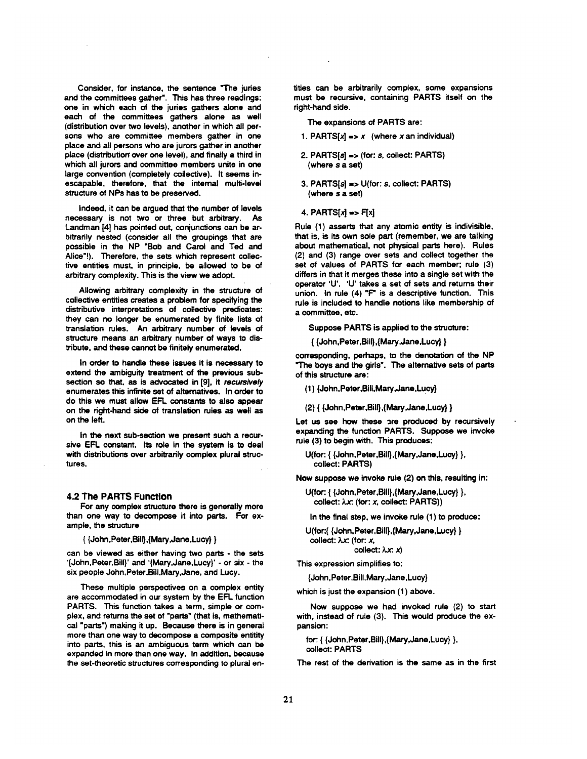Consider, for instance, the sentence "The juries and the committees gather". This has three readings: one in which each of the juries gathers alone and each of the committees gathers alone as well (distribution over two levels), another in which all persons who are committee members gather in one place and all persons who are jurors gather in another place (distribution" over one level), and finally a third in which all jurors and committee members unite in one large convention (completely collective). It seems inescapable, therefore, that the internal multi-level structure of NPs has to be preserved.

Indeed. it can be argued that the number of levels necessary is not two or three but arbitrary. As Landman [4] has pointed out. conjunctions can be arbitrarily nested (consider all the groupings that are possible in the NP "Bob and Carol and Ted and Alice"!). Therefore, the sets which represent collective entities must, in principle, be allowed to be of arbitrary complexity. This is the view we adopt.

Allowing arbitrary complexity in the structure of collective entities creates a problem for specifying the distributive interpretations of collective predicates: they can no longer be enumerated by finite lists of translation rules. An arbitrary number of levels of structure means an arbitrary number of ways to distribute, and these cannot be finitely enumerated.

In order to handle these issues it is necessary to extend the ambiguity treatment of the previous subsection so that. as is advocated in [9], it *recutsively*  enumerates this infinite set of alternatives. In order to do this we must allow EFL constants to also appear on the right-hand side of translation rules as well as on the left.

In the next sub-section we present such a recursive EFL constant. Its role in the system is to deal with distributions over arbitrarily complex plural structures.

#### 4.2 The PARTS Function

For any complex structure there is generally more than one way to decompose it into parts. For example, the structure

{ {John,Peter,Bill},{Mary,Jane,Lucy) }

can be viewed as either having two parts - the sets '{John,Peter.Bill)' and '{Mary,Jane,Lucy}' - or six - the six people John,Peter,Bill,Mary,Jane, and Lucy.

These multiple perspectives on a complex entity are accommodated in our system by the EFL function PARTS. This function takes a term, simple or complex, and returns the set of "parts" (that is, mathematical "parts") making it up. Because there is in general more than one way to decompose a composite entitity into parts, this is an ambiguous term which can be expanded in more than one way. In addition, because the set-theoretic structures corresponding to plural entities can be arbitrarily complex, some expansions must be recursive, containing PARTS itself on the right-hand side.

The expansions of PARTS are:

- 1. PARTS $[x] = x$  (where x an individual)
- 2. PARTS[s] => (for: s, collect: PARTS) (where **s a** set)
- 3. PARTS[s] -> U(for: s. collect: PARTS) (where s a set)
- $4.$  PARTS[ $x$ ] = F[ $x$ ]

Rule (1) asserts that any atomic entity is indivisible, that is, is its own sole part (remember, we are talking about mathematical, not physical parts here). Rules (2) and (3) range over sets and collect together the set of values of PARTS for each member; rule (3) differs in that it merges these into a single set with the operator 'U'. 'U' takes a set of sets and returns their union. In rule (4) "F" is a descriptive function. This rule is included to handle notions like membership of a committee, etc.

Suppose PARTS is applied to the structure:

{ {John,Peter,Bill),{Mary~Jane,Lucy} )

corresponding, perhaps, to the denotation of the NP "The boys and the girls". The alternative sets of parts of this structure are:

(1) {John, Peter, Bill, Mary, Jane, Lucy}

(2) { {John,Peter,Bill},{Mary,Jane,Lucy} }

Let us see how these are produced by recursively expanding the function PARTS. Suppose we invoke rule (3) to begin with. This produces:

U(for: { {John,Peter,Bill},{Mary,Jane,Lucy} }, collect: PARTS)

Now suppose we invoke rule (2) on this, resulting in:

U(for: { {John,Peter,Bill),{Mary,Jane,Lucy} }, collect:  $\lambda x$ : (for: x, collect: PARTS))

In the final step, we invoke rule (1) to produce:

U(for:{ {John,Peter.Bill},{Mary,Jane,Lucy) } collect:  $\lambda x$ : (for:  $x$ ,

collect:  $\lambda x: x$ 

This expression simplifies to:

{John,Peter,BUI.Mary,Jane,Lucy)

which is just the expansion (1) above.

Now suppose we had invoked rule (2) to start with, instead of rule (3). This would produce the expansion:

for: { {John.Petar,Bill},{Mary,Jane,Lucy) ), collect: PARTS

The rest of the derivation is the same as in the first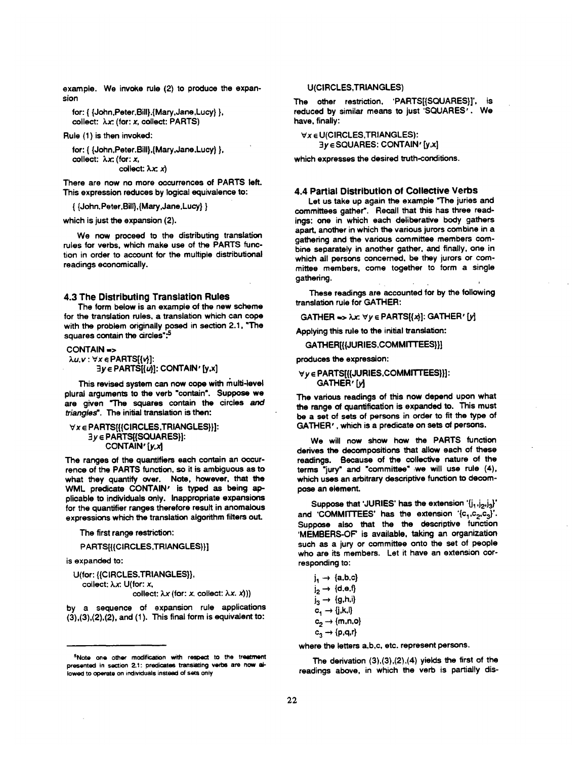example. We invoke rule (2) to produce the expansion

for: { {John,Peter, Bill},{Mary,Jane,Lucy} },  $collect: \lambda x: (for: x, collect: PARTS)$ 

Rule (1) is then invoked:

for: { {John,Peter.Bill},{Mary,Jane,Lucy} }, collect:  $\lambda x$ : (for: x,  $collect: \lambda x: x$ 

There are now no more occurrences of PARTS left. This expression reduces by logical equivalence to:

{ {John, Peter,Bill},{Mary,Jane,Lucy} }

which is just the expansion (2).

We now proceed to the distributing translation rules for verbs, which make use of the PARTS function in order to account for the multiple distributional readings economically.

#### 4.3 The Distributing Translation Rules

The form below is an example of the new scheme for the translation rules, a translation which can cope with the problem originally posed in section 2.1, "The squares contain the circles":<sup>5</sup>

#### CONTAIN ->

*~.u,v* : Vx • PARTS[{v}]:  $\exists y \in$  PARTS $[(u)]$ : CONTAIN' [y,x]

This revised system can now cope with multi-level plural arguments to the verb "contain". Suppose we are given "The squares contain the circles and *triangled'. The* initial translation is then:

### $\forall x \in$  PARTS[{{CIRCLES, TRIANGLES}}]:  $3y \in PARTS[$ [SQUARES]]: CONTAIN' [y,x]

The ranges of the quantifiers each contain an occurrence of the PARTS function, so it is ambiguous as to what they quantify over. Note, however, that the WML predicate CONTAIN' is typed as being applicable to individuals only. Inappropriate expansions for the quantifier ranges therefore result in anomalous expressions which the translation algorithm filters out.

The first range restriction:

PARTS[{{CIRCLES,TRIANGLES}}]

is expanded to:

U(for: {{CIRCLES.TRIANGLES}}, collect: λ.x: U(for: x, collect:  $\lambda x$  (for: x, collect:  $\lambda x. x$ )))

by a sequence of expansion rule applications  $(3), (3), (2), (2),$  and  $(1).$  This final form is equivalent to:

#### U(CIRCLES,TRIANGLES)

The other restriction, 'PARTS[{SQUARES}]', is reduced by similar means to just 'SQUARES'. We have, finally:

Vx E U(CIRCLES,TRIANGLES): 3y • SQUARES: CONTAIN' [y,x]

which expresses the desired truth-conditions.

#### 4.4 Partial Distribution of Collective Verbs

Let us take up again the example "The juries and committees gather\*, Recall that this has three readings: one in which each deliberative body gathers apart, another in which the various jurors combine in a gathering and the various committee members combine separately in another gather, and finally, one in which all persons concerned, be they jurors or committee members, come together to form a single gathering.

These readings are accounted for by the following translation rule for GATHER:

 $GATHER \Rightarrow \lambda x: \forall y \in PARTS[\{\lambda\}]: GATHER' [y]$ 

Applying this rule to the initial translation:

GATHER[{JURIES,COMMITTEES}}]

produces the expression:

#### $\forall y \in$  PARTS[{{JURIES, COMMITTEES}}]: GATHER' [y]

The various readings of this now depend upon what the range of quantification is expanded to. This must be a set of sets of persons in order to fit the type of GATHER', which is a predicate on sets of persons.

We will now show how the PARTS function derives the decompositions that allow each of these readings. Because of the collective nature of the terms "jury" and "committee" ,we will use rule (4), which uses an arbitrary descriptive function to decompose an element.

Suppose that 'JURIES' has the extension ' $\{j_1, j_2, j_3\}'$ and 'COMMITTEES' has the extension ' $\{c_1,c_2,c_3\}'$ . Suppose also that the the descriptive function 'MEMBERS-OF' is available, taking an organization such as a jury or committee onto the set of people who are its members. Let it have an extension corresponding to:

| j <sub>1</sub> → {a,b,c}    |
|-----------------------------|
| $i_2 \rightarrow \{d,e,f\}$ |
| $j_3 \rightarrow \{g,h,i\}$ |
| $c_1 \rightarrow (j,k,l)$   |
| $c_2 \rightarrow \{m,n,o\}$ |
| $c_3 \rightarrow \{p,q,r\}$ |

where the letters a,b,c, etc. represent persons.

The derivation (3),(3),(2),(4) yields the first of the readings above, in which the verb is partially dis-

<sup>&</sup>lt;sup>5</sup>Note one other modification with respect to the treatment presented in section 2.1: predicates translating verbs are now allowed to operate on individuals instead of sets only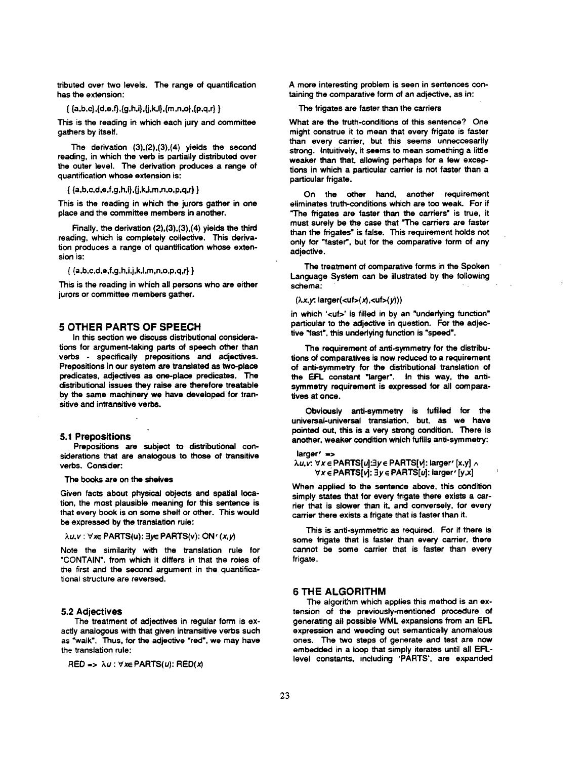tributed over two levels. The range of quantification has the extension:

 $\{a,b,c\},\{d,e,f\},\{g,h,i\},\{j,k,l\},\{m,n,o\},\{p,q,r\}$ 

This is the reading in which each jury and committee gathers by itself.

The derivation (3),(2),(3),(4) yields the second reading, in which the verb is partially distributed over the outer level. The derivation produces a range of quantification whose extension is:

 $\{ \{a,b,c,d,e,f,g,h,i\},\{j,k,l,m,n,o,p,q,r\} \}$ 

This is the reading in which the jurors gather in one place and the committee members in another.

Finally, the derivation (2),(3),(3),(4) yields the third reading, which is completely collective. This derivation produces a range of quantification whose extension is:

 $\{ \{a,b,c,d,e,f,g,h,i,j,k,l,m,n,o,p,q,r\} \}$ 

This is the reading in which all persons who are either jurors or committee members gather.

### **5 OTHER PARTS OF SPEECH**

In this section we discuss distributional considerations for argument-taking parts of speech other than verbs - specifically prepositions and adjectives. Prepositions in our system are translated as two-place predicates, adjectives as one-place predicates. The distributional issues they raise are therefore treatable by the same machinery we have developed for transitive and intransitive verbs.

#### 5.1 Prepositions

Prepositions are subject to distributional considerations that are analogous to those of transitive verbs. Consider:

The books are on the shelves

Given facts about physical objects and spatial location, the most plausible meaning for this sentence is that every book is on some shelf or other. This would be expressed by the translation rule:

#### *λu, v* : ∀x∈ PARTS(u): ∃y∈ PARTS(v): ON' (x, y)

Note the similarity with the translation rule for "CONTAIN". from which it differs in that the roles of the first and the second argument in the quantificational structure are reversed.

#### **5.2** Adjectives

The treatment of adjectives in regular form is exactly analogous with that given intransitive verbs such as "walk". Thus, for the adjective "red", we may have the translation rule:

RED =>  $\lambda u$ :  $\forall x \in$  PARTS(u): RED(x)

A more interesting problem is seen in sentences containing the comparative form of an adjective, as in:

#### The frigates are faster than the carriers

What are the truth-conditions of this sentence? One might construe it to mean that every frigate is faster than every carrier, but this seems unneccesarily strong. Intuitively, it seems to mean something a little weaker than that, allowing perhaps for a few exceptions in which a particular carrier is not faster than a particular frigate.

On the other hand, another requirement eliminates truth-conditions which are too weak. For if "The frigates are faster than the carriers" is true, it must surely be the case that "The carriers are faster than the frigates" is false. This requirement holds not only for "faster", but for the comparative form of any adjective.

The treatment of comparative forms in the Spoken Language System can be illustrated by the following schema:

 $(\lambda x, y: \text{larger}(<\text{utf}>x), <\text{utf}>y))$ 

in which '<uf>' is filled in by an "underlying function" particular to the adjective in question. For the adjective "fast", this underlying function is "speed".

The requirement of anti-symmetry for the distributions of comparatives is now reduced to a requirement of anti-symmetry for the distributional translation of the EFL constant "larger'. In this way, the antisymmetry requirement is expressed for all comparatives at once.

Obviously anti-symmetry is fufilled for the universal-universal translation, but, as we have pointed out, this is a very strong condition. There is another, weaker condition which fufills anti-symmetry:

larger<sup>'</sup> =>  $\lambda u, v: \forall x \in \mathsf{PARTS}[u]: \exists y \in \mathsf{PARTS}[v]: \mathsf{larger'}[x,y] \wedge$  $\forall x \in PARTS[v]: \exists y \in PARTS[u]: \text{larger'} [y,x]$ 

When applied to the sentence above, this condition simply states that for every frigate there exists a carrier that is slower than it, and conversely, for every carrier there exists a frigate that is faster than it.

This is anti-symmetric as required. For if there is some frigate that is faster than every carrier, there cannot be some carrier that is faster than every frigate.

#### **6 THE** ALGORITHM

The algorithm which applies this method is an extension of the previously-mentioned procedure of generating all possible WML expansions from an EFL expression and weeding out semantically anomalous ones. The two steps of generate and test are now embedded in a loop that simply iterates until all EFLlevel constants, including 'PARTS', are expanded